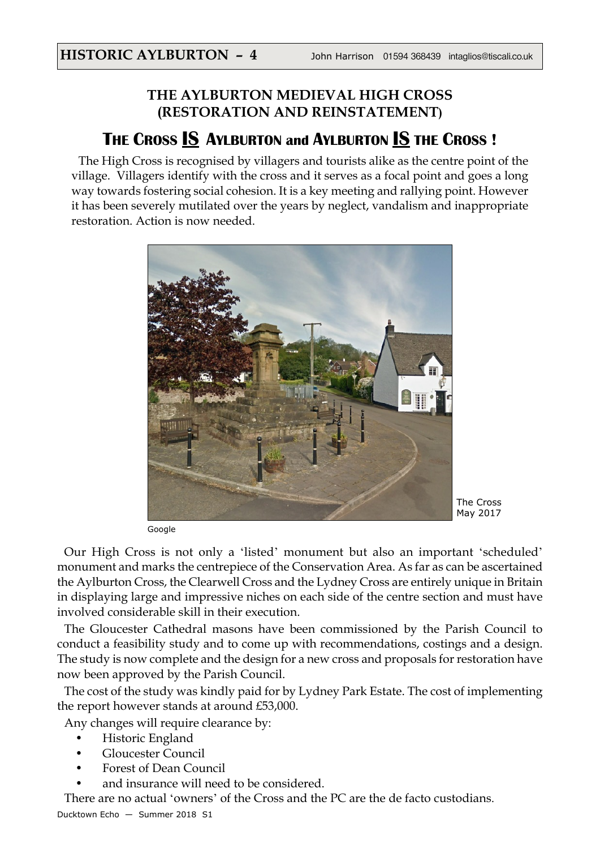## **THE AYLBURTON MEDIEVAL HIGH CROSS (RESTORATION AND REINSTATEMENT)**

## **THE CROSS IS AYLBURTON and AYLBURTON IS THE CROSS !**

The High Cross is recognised by villagers and tourists alike as the centre point of the village. Villagers identify with the cross and it serves as a focal point and goes a long way towards fostering social cohesion. It is a key meeting and rallying point. However it has been severely mutilated over the years by neglect, vandalism and inappropriate restoration. Action is now needed.



Google

Our High Cross is not only a 'listed' monument but also an important 'scheduled' monument and marks the centrepiece of the Conservation Area. As far as can be ascertained the Aylburton Cross, the Clearwell Cross and the Lydney Cross are entirely unique in Britain in displaying large and impressive niches on each side of the centre section and must have involved considerable skill in their execution.

The Gloucester Cathedral masons have been commissioned by the Parish Council to conduct a feasibility study and to come up with recommendations, costings and a design. The study is now complete and the design for a new cross and proposals for restoration have now been approved by the Parish Council.

The cost of the study was kindly paid for by Lydney Park Estate. The cost of implementing the report however stands at around £53,000.

Any changes will require clearance by:

- Historic England
- Gloucester Council
- Forest of Dean Council
- and insurance will need to be considered.

There are no actual 'owners' of the Cross and the PC are the de facto custodians.